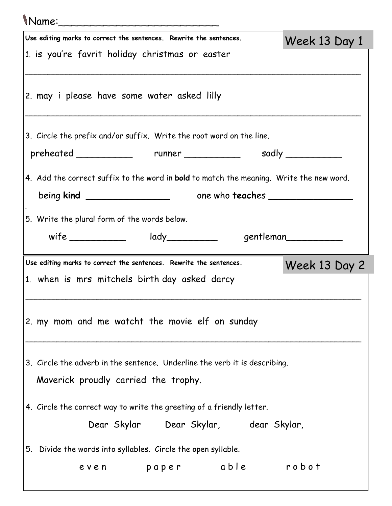| Mame:                                                                                   |                      |
|-----------------------------------------------------------------------------------------|----------------------|
| Use editing marks to correct the sentences. Rewrite the sentences.                      | Week 13 Day 1        |
| 1. is you're favrit holiday christmas or easter                                         |                      |
| 2. may i please have some water asked lilly                                             |                      |
| 3. Circle the prefix and/or suffix. Write the root word on the line.                    |                      |
| preheated runner sadly same runner and the same same sadly                              |                      |
| 4. Add the correct suffix to the word in bold to match the meaning. Write the new word. |                      |
| 5. Write the plural form of the words below.<br>wife ______________ lady__________      | gentleman___________ |
|                                                                                         |                      |
|                                                                                         |                      |
| Use editing marks to correct the sentences. Rewrite the sentences.                      | Week 13 Day 2        |
| 1. when is mrs mitchels birth day asked darcy                                           |                      |
| 2. my mom and me watcht the movie elf on sunday                                         |                      |
| 3. Circle the adverb in the sentence. Underline the verb it is describing.              |                      |
| Maverick proudly carried the trophy.                                                    |                      |
| 4. Circle the correct way to write the greeting of a friendly letter.                   |                      |
| Dear Skylar Dear Skylar, dear Skylar,                                                   |                      |
| 5. Divide the words into syllables. Circle the open syllable.                           |                      |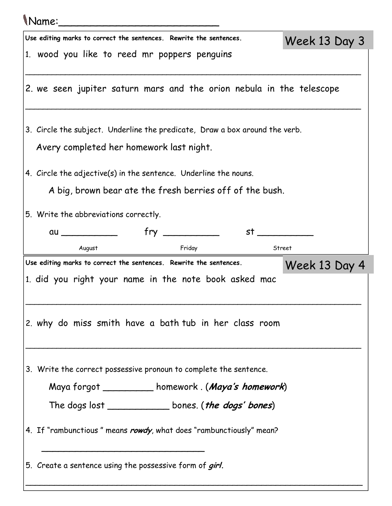| (Name:                                                                                                                                                                                                                         |               |
|--------------------------------------------------------------------------------------------------------------------------------------------------------------------------------------------------------------------------------|---------------|
| Use editing marks to correct the sentences. Rewrite the sentences.                                                                                                                                                             | Week 13 Day 3 |
| 1. wood you like to reed mr poppers penguins                                                                                                                                                                                   |               |
| 2. we seen jupiter saturn mars and the orion nebula in the telescope                                                                                                                                                           |               |
| 3. Circle the subject. Underline the predicate, Draw a box around the verb.                                                                                                                                                    |               |
| Avery completed her homework last night.                                                                                                                                                                                       |               |
| 4. Circle the adjective(s) in the sentence. Underline the nouns.                                                                                                                                                               |               |
| A big, brown bear ate the fresh berries off of the bush.                                                                                                                                                                       |               |
| 5. Write the abbreviations correctly.                                                                                                                                                                                          |               |
| st and the state of the state of the state of the state of the state of the state of the state of the state of the state of the state of the state of the state of the state of the state of the state of the state of the sta |               |
| August<br>Friday                                                                                                                                                                                                               | Street        |
| Use editing marks to correct the sentences. Rewrite the sentences.                                                                                                                                                             | Week 13 Day 4 |
| 1. did you right your name in the note book asked mac                                                                                                                                                                          |               |
| 2. why do miss smith have a bath tub in her class room                                                                                                                                                                         |               |
| 3. Write the correct possessive pronoun to complete the sentence.                                                                                                                                                              |               |
| Maya forgot ____________homework. (Maya's homework)                                                                                                                                                                            |               |
| The dogs lost _____________________bones. ( <i>the dogs' bones</i> )                                                                                                                                                           |               |
| 4. If "rambunctious" means rowdy, what does "rambunctiously" mean?                                                                                                                                                             |               |
| 5. Create a sentence using the possessive form of girl.                                                                                                                                                                        |               |